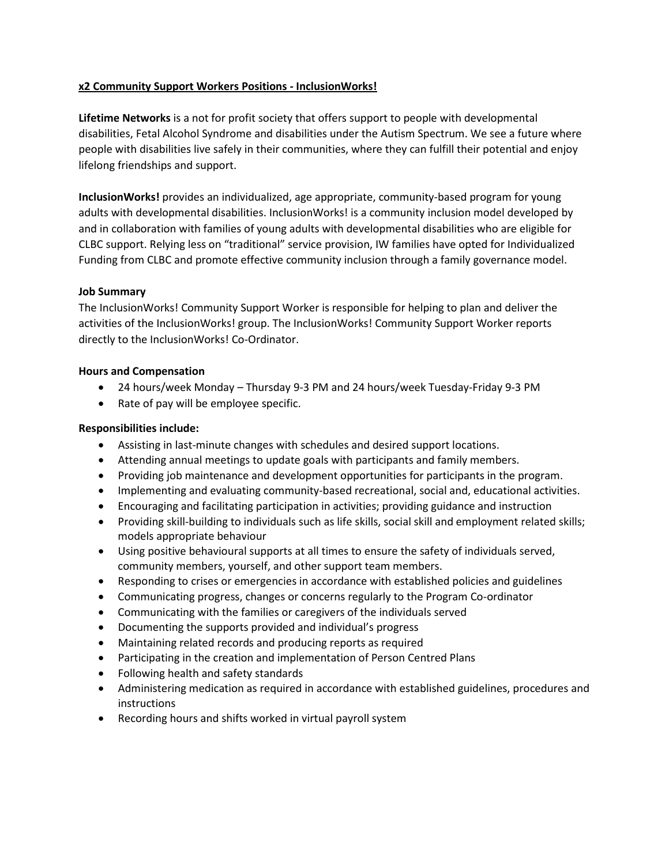### **x2 Community Support Workers Positions - InclusionWorks!**

**Lifetime Networks** is a not for profit society that offers support to people with developmental disabilities, Fetal Alcohol Syndrome and disabilities under the Autism Spectrum. We see a future where people with disabilities live safely in their communities, where they can fulfill their potential and enjoy lifelong friendships and support.

**InclusionWorks!** provides an individualized, age appropriate, community-based program for young adults with developmental disabilities. InclusionWorks! is a community inclusion model developed by and in collaboration with families of young adults with developmental disabilities who are eligible for CLBC support. Relying less on "traditional" service provision, IW families have opted for Individualized Funding from CLBC and promote effective community inclusion through a family governance model.

#### **Job Summary**

The InclusionWorks! Community Support Worker is responsible for helping to plan and deliver the activities of the InclusionWorks! group. The InclusionWorks! Community Support Worker reports directly to the InclusionWorks! Co-Ordinator.

## **Hours and Compensation**

- 24 hours/week Monday Thursday 9-3 PM and 24 hours/week Tuesday-Friday 9-3 PM
- Rate of pay will be employee specific.

# **Responsibilities include:**

- Assisting in last-minute changes with schedules and desired support locations.
- Attending annual meetings to update goals with participants and family members.
- Providing job maintenance and development opportunities for participants in the program.
- Implementing and evaluating community-based recreational, social and, educational activities.
- Encouraging and facilitating participation in activities; providing guidance and instruction
- Providing skill-building to individuals such as life skills, social skill and employment related skills; models appropriate behaviour
- Using positive behavioural supports at all times to ensure the safety of individuals served, community members, yourself, and other support team members.
- Responding to crises or emergencies in accordance with established policies and guidelines
- Communicating progress, changes or concerns regularly to the Program Co-ordinator
- Communicating with the families or caregivers of the individuals served
- Documenting the supports provided and individual's progress
- Maintaining related records and producing reports as required
- Participating in the creation and implementation of Person Centred Plans
- Following health and safety standards
- Administering medication as required in accordance with established guidelines, procedures and instructions
- Recording hours and shifts worked in virtual payroll system